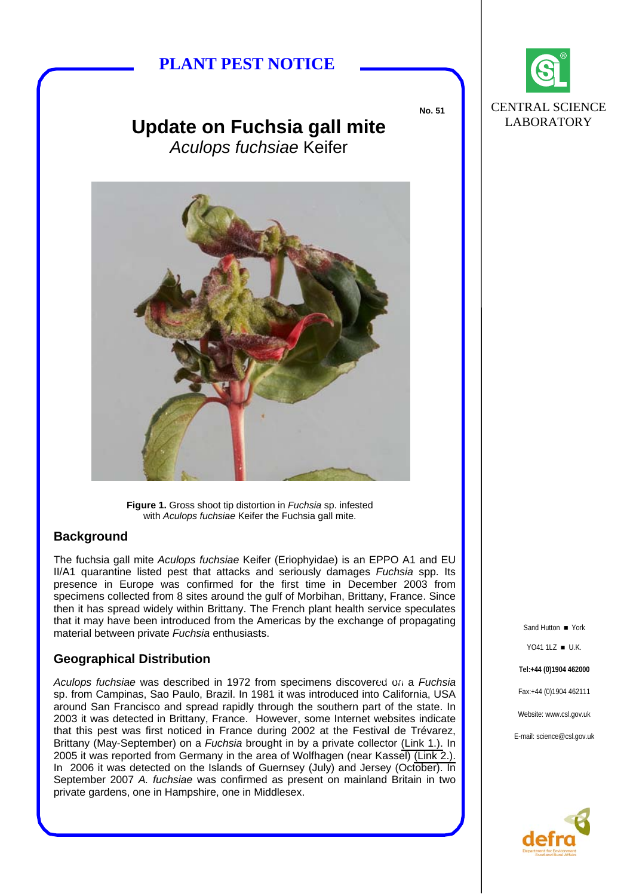# **PLANT PEST NOTICE**

**No. 51** 



# **Update on Fuchsia gall mite**  *Aculops fuchsiae* Keifer



**Figure 1.** Gross shoot tip distortion in *Fuchsia* sp. infested with *Aculops fuchsiae* Keifer the Fuchsia gall mite.

## **Background**

The fuchsia gall mite *Aculops fuchsiae* Keifer (Eriophyidae) is an EPPO A1 and EU II/A1 quarantine listed pest that attacks and seriously damages *Fuchsia* spp. Its presence in Europe was confirmed for the first time in December 2003 from specimens collected from 8 sites around the gulf of Morbihan, Brittany, France. Since then it has spread widely within Brittany. The French plant health service speculates that it may have been introduced from the Americas by the exchange of propagating material between private *Fuchsia* enthusiasts. Sand Hutton **The Sand Hutton of Sand Hutton I** York

## **Geographical Distribution**

Aculops fuchsiae was described in 1972 from specimens discovered on a Fuchsia sp. from Campinas, Sao Paulo, Brazil. In 1981 it was introduced into California, USA around San Francisco and spread rapidly through the southern part of the state. In 2003 it was detected in Brittany, France. However, some Internet websites indicate that this pest was first noticed in France during 2002 at the Festival de Trévarez, Brittany (May-September) on a *Fuchsia* brought in by a private collector [\(Link 1.\).](http://www.jardin-ofildpages.com/fp/aculops_fuchsiae.php) In 2005 it was reported from Germany in the area of Wolfhagen (near Kassel) [\(Link 2.\).](http://www.eurofuchsia.org/aculops%20fuchsiae.html)  In 2006 it was detected on the Islands of Guernsey (July) and Jersey (October). In September 2007 *A. fuchsiae* was confirmed as present on mainland Britain in two private gardens, one in Hampshire, one in Middlesex.

YO41 1LZ ■ U.K. **Tel:+44 (0)1904 462000** Fax:+44 (0)1904 462111 Website: www.csl.gov.uk E-mail: science@csl.gov.uk

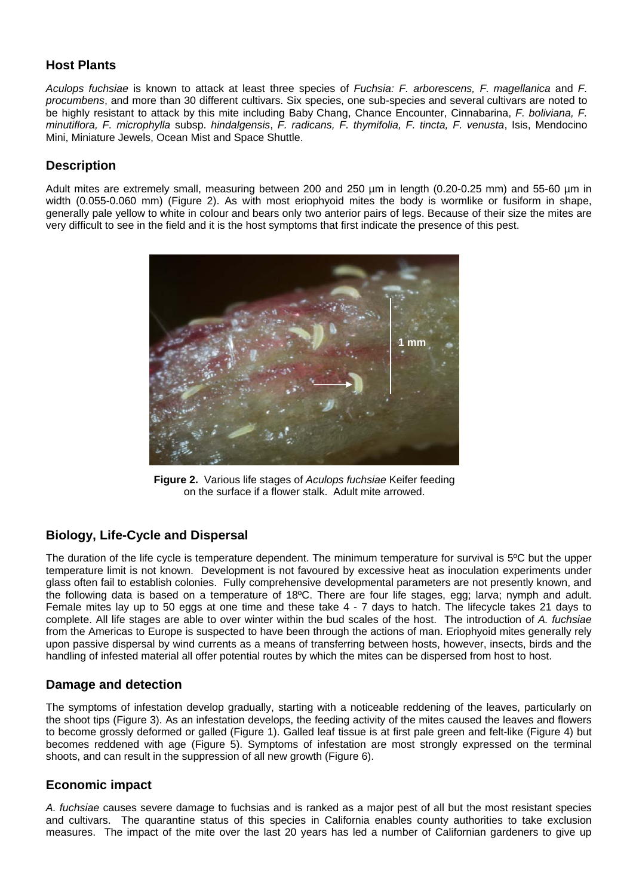## **Host Plants**

*Aculops fuchsiae* is known to attack at least three species of *Fuchsia: F. arborescens, F. magellanica* and *F. procumbens*, and more than 30 different cultivars. Six species, one sub-species and several cultivars are noted to be highly resistant to attack by this mite including Baby Chang, Chance Encounter, Cinnabarina, *F. boliviana, F. minutiflora, F. microphylla* subsp. *hindalgensis*, *F. radicans, F. thymifolia, F. tincta, F. venusta*, Isis, Mendocino Mini, Miniature Jewels, Ocean Mist and Space Shuttle.

#### **Description**

Adult mites are extremely small, measuring between 200 and 250 um in length (0.20-0.25 mm) and 55-60 um in width (0.055-0.060 mm) (Figure 2). As with most eriophyoid mites the body is wormlike or fusiform in shape, generally pale yellow to white in colour and bears only two anterior pairs of legs. Because of their size the mites are very difficult to see in the field and it is the host symptoms that first indicate the presence of this pest.



**Figure 2.** Various life stages of *Aculops fuchsiae* Keifer feeding on the surface if a flower stalk. Adult mite arrowed.

## **Biology, Life-Cycle and Dispersal**

The duration of the life cycle is temperature dependent. The minimum temperature for survival is 5ºC but the upper temperature limit is not known. Development is not favoured by excessive heat as inoculation experiments under glass often fail to establish colonies. Fully comprehensive developmental parameters are not presently known, and the following data is based on a temperature of 18ºC. There are four life stages, egg; larva; nymph and adult. Female mites lay up to 50 eggs at one time and these take 4 - 7 days to hatch. The lifecycle takes 21 days to complete. All life stages are able to over winter within the bud scales of the host. The introduction of *A. fuchsiae*  from the Americas to Europe is suspected to have been through the actions of man. Eriophyoid mites generally rely upon passive dispersal by wind currents as a means of transferring between hosts, however, insects, birds and the handling of infested material all offer potential routes by which the mites can be dispersed from host to host.

## **Damage and detection**

The symptoms of infestation develop gradually, starting with a noticeable reddening of the leaves, particularly on the shoot tips (Figure 3). As an infestation develops, the feeding activity of the mites caused the leaves and flowers to become grossly deformed or galled (Figure 1). Galled leaf tissue is at first pale green and felt-like (Figure 4) but becomes reddened with age (Figure 5). Symptoms of infestation are most strongly expressed on the terminal shoots, and can result in the suppression of all new growth (Figure 6).

#### **Economic impact**

*A. fuchsiae* causes severe damage to fuchsias and is ranked as a major pest of all but the most resistant species and cultivars. The quarantine status of this species in California enables county authorities to take exclusion measures. The impact of the mite over the last 20 years has led a number of Californian gardeners to give up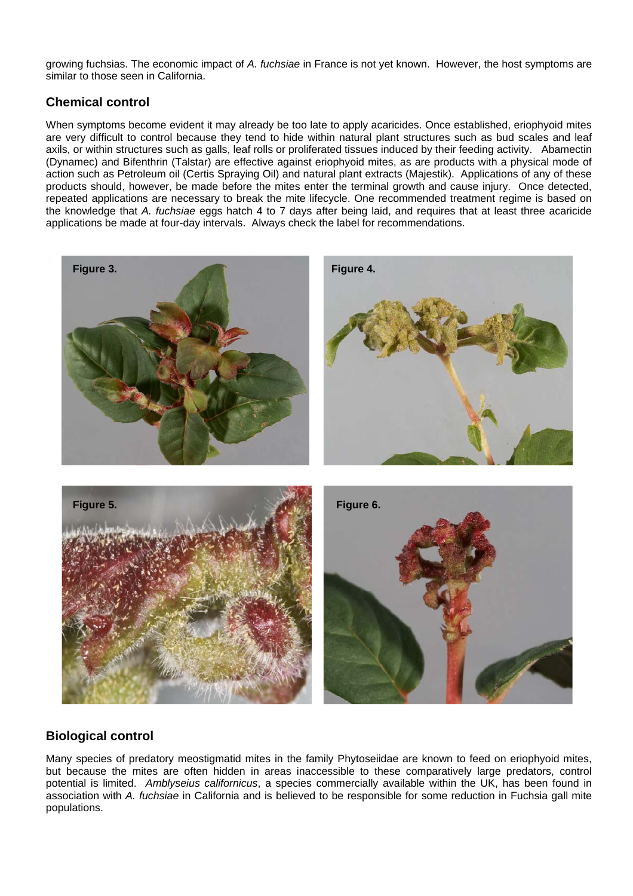growing fuchsias. The economic impact of *A. fuchsiae* in France is not yet known. However, the host symptoms are similar to those seen in California.

## **Chemical control**

When symptoms become evident it may already be too late to apply acaricides. Once established, eriophyoid mites are very difficult to control because they tend to hide within natural plant structures such as bud scales and leaf axils, or within structures such as galls, leaf rolls or proliferated tissues induced by their feeding activity. Abamectin (Dynamec) and Bifenthrin (Talstar) are effective against eriophyoid mites, as are products with a physical mode of action such as Petroleum oil (Certis Spraying Oil) and natural plant extracts (Majestik). Applications of any of these products should, however, be made before the mites enter the terminal growth and cause injury. Once detected, repeated applications are necessary to break the mite lifecycle. One recommended treatment regime is based on the knowledge that *A. fuchsiae* eggs hatch 4 to 7 days after being laid, and requires that at least three acaricide applications be made at four-day intervals. Always check the label for recommendations.





## **Biological control**

Many species of predatory meostigmatid mites in the family Phytoseiidae are known to feed on eriophyoid mites, but because the mites are often hidden in areas inaccessible to these comparatively large predators, control potential is limited. *Amblyseius californicus*, a species commercially available within the UK, has been found in association with *A. fuchsiae* in California and is believed to be responsible for some reduction in Fuchsia gall mite populations.